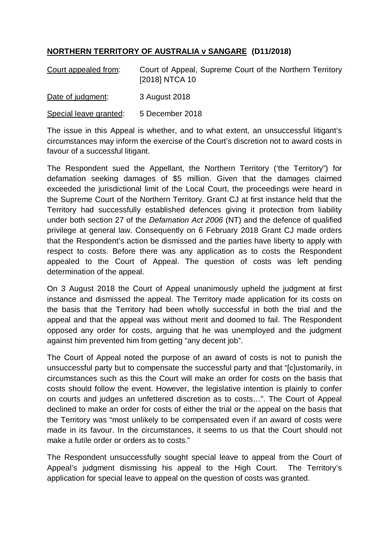## **NORTHERN TERRITORY OF AUSTRALIA v SANGARE (D11/2018)**

| Court appealed from:   | Court of Appeal, Supreme Court of the Northern Territory<br>[2018] NTCA 10 |
|------------------------|----------------------------------------------------------------------------|
| Date of judgment:      | 3 August 2018                                                              |
| Special leave granted: | 5 December 2018                                                            |

The issue in this Appeal is whether, and to what extent, an unsuccessful litigant's circumstances may inform the exercise of the Court's discretion not to award costs in favour of a successful litigant.

The Respondent sued the Appellant, the Northern Territory ('the Territory") for defamation seeking damages of \$5 million. Given that the damages claimed exceeded the jurisdictional limit of the Local Court, the proceedings were heard in the Supreme Court of the Northern Territory. Grant CJ at first instance held that the Territory had successfully established defences giving it protection from liability under both section 27 of the *Defamation Act 2006* (NT) and the defence of qualified privilege at general law. Consequently on 6 February 2018 Grant CJ made orders that the Respondent's action be dismissed and the parties have liberty to apply with respect to costs. Before there was any application as to costs the Respondent appealed to the Court of Appeal. The question of costs was left pending determination of the appeal.

On 3 August 2018 the Court of Appeal unanimously upheld the judgment at first instance and dismissed the appeal. The Territory made application for its costs on the basis that the Territory had been wholly successful in both the trial and the appeal and that the appeal was without merit and doomed to fail. The Respondent opposed any order for costs, arguing that he was unemployed and the judgment against him prevented him from getting "any decent job".

The Court of Appeal noted the purpose of an award of costs is not to punish the unsuccessful party but to compensate the successful party and that "[c]ustomarily, in circumstances such as this the Court will make an order for costs on the basis that costs should follow the event. However, the legislative intention is plainly to confer on courts and judges an unfettered discretion as to costs…". The Court of Appeal declined to make an order for costs of either the trial or the appeal on the basis that the Territory was "most unlikely to be compensated even if an award of costs were made in its favour. In the circumstances, it seems to us that the Court should not make a futile order or orders as to costs."

The Respondent unsuccessfully sought special leave to appeal from the Court of Appeal's judgment dismissing his appeal to the High Court. The Territory's application for special leave to appeal on the question of costs was granted.